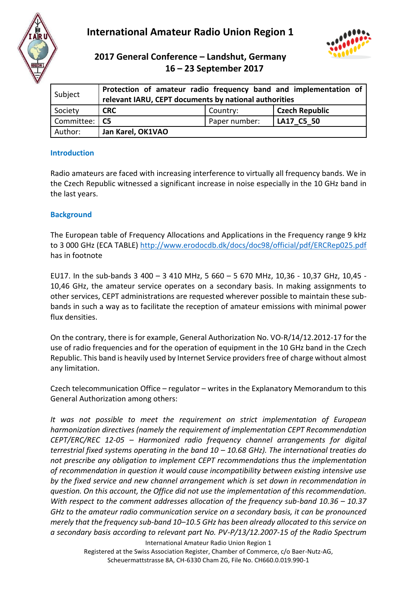

# **International Amateur Radio Union Region 1**



## **2017 General Conference – Landshut, Germany 16 – 23 September 2017**

| Subject         | Protection of amateur radio frequency band and implementation of<br>relevant IARU, CEPT documents by national authorities |               |                       |  |
|-----------------|---------------------------------------------------------------------------------------------------------------------------|---------------|-----------------------|--|
| Society         | <b>CRC</b>                                                                                                                | Country:      | <b>Czech Republic</b> |  |
| Committee:   C5 |                                                                                                                           | Paper number: | LA17 C5 50            |  |
| Author:         | Jan Karel, OK1VAO                                                                                                         |               |                       |  |

#### **Introduction**

Radio amateurs are faced with increasing interference to virtually all frequency bands. We in the Czech Republic witnessed a significant increase in noise especially in the 10 GHz band in the last years.

#### **Background**

The European table of Frequency Allocations and Applications in the Frequency range 9 kHz to 3 000 GHz (ECA TABLE)<http://www.erodocdb.dk/docs/doc98/official/pdf/ERCRep025.pdf> has in footnote

EU17. In the sub-bands 3 400 – 3 410 MHz, 5 660 – 5 670 MHz, 10,36 - 10,37 GHz, 10,45 - 10,46 GHz, the amateur service operates on a secondary basis. In making assignments to other services, CEPT administrations are requested wherever possible to maintain these subbands in such a way as to facilitate the reception of amateur emissions with minimal power flux densities.

On the contrary, there is for example, General Authorization No. VO-R/14/12.2012-17 for the use of radio frequencies and for the operation of equipment in the 10 GHz band in the Czech Republic. This band is heavily used by Internet Service providers free of charge without almost any limitation.

Czech telecommunication Office – regulator – writes in the Explanatory Memorandum to this General Authorization among others:

*It was not possible to meet the requirement on strict implementation of European harmonization directives (namely the requirement of implementation CEPT Recommendation CEPT/ERC/REC 12-05 – Harmonized radio frequency channel arrangements for digital terrestrial fixed systems operating in the band 10 – 10.68 GHz). The international treaties do not prescribe any obligation to implement CEPT recommendations thus the implementation of recommendation in question it would cause incompatibility between existing intensive use by the fixed service and new channel arrangement which is set down in recommendation in question. On this account, the Office did not use the implementation of this recommendation. With respect to the comment addresses allocation of the frequency sub-band 10.36 – 10.37 GHz to the amateur radio communication service on a secondary basis, it can be pronounced merely that the frequency sub-band 10–10.5 GHz has been already allocated to this service on a secondary basis according to relevant part No. PV-P/13/12.2007-15 of the Radio Spectrum* 

International Amateur Radio Union Region 1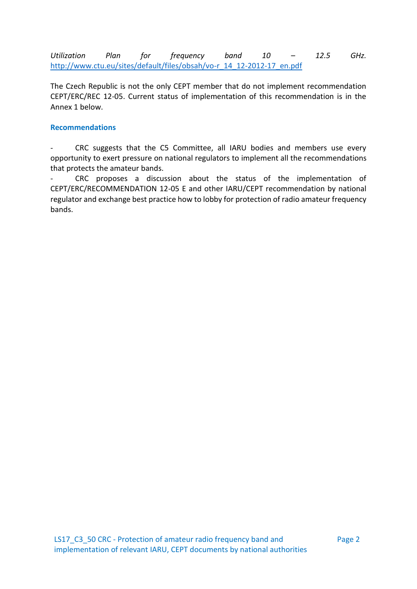*Utilization Plan for frequency band 10 – 12.5 GHz.* [http://www.ctu.eu/sites/default/files/obsah/vo-r\\_14\\_12-2012-17\\_en.pdf](http://www.ctu.eu/sites/default/files/obsah/vo-r_14_12-2012-17_en.pdf)

The Czech Republic is not the only CEPT member that do not implement recommendation CEPT/ERC/REC 12-05. Current status of implementation of this recommendation is in the Annex 1 below.

#### **Recommendations**

CRC suggests that the C5 Committee, all IARU bodies and members use every opportunity to exert pressure on national regulators to implement all the recommendations that protects the amateur bands.

- CRC proposes a discussion about the status of the implementation of CEPT/ERC/RECOMMENDATION 12-05 E and other IARU/CEPT recommendation by national regulator and exchange best practice how to lobby for protection of radio amateur frequency bands.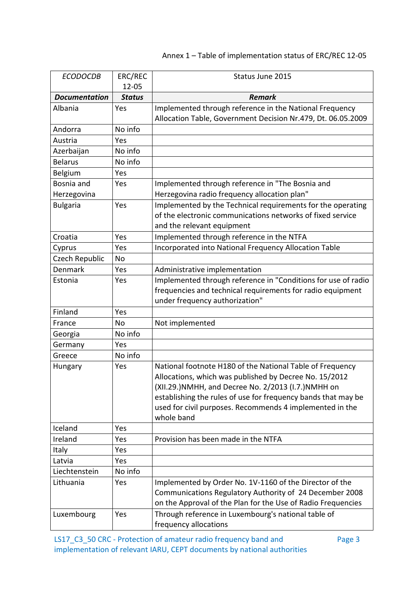### Annex 1 – Table of implementation status of ERC/REC 12-05

| <b>ECODOCDB</b>      | ERC/REC<br>$12 - 05$ | Status June 2015                                                                                                                                                                                                                                                                                                       |  |
|----------------------|----------------------|------------------------------------------------------------------------------------------------------------------------------------------------------------------------------------------------------------------------------------------------------------------------------------------------------------------------|--|
| <b>Documentation</b> | <b>Status</b>        | <b>Remark</b>                                                                                                                                                                                                                                                                                                          |  |
| Albania              | Yes                  | Implemented through reference in the National Frequency                                                                                                                                                                                                                                                                |  |
|                      |                      | Allocation Table, Government Decision Nr.479, Dt. 06.05.2009                                                                                                                                                                                                                                                           |  |
| Andorra              | No info              |                                                                                                                                                                                                                                                                                                                        |  |
| Austria              | Yes                  |                                                                                                                                                                                                                                                                                                                        |  |
| Azerbaijan           | No info              |                                                                                                                                                                                                                                                                                                                        |  |
| <b>Belarus</b>       | No info              |                                                                                                                                                                                                                                                                                                                        |  |
| Belgium              | Yes                  |                                                                                                                                                                                                                                                                                                                        |  |
| Bosnia and           | Yes                  | Implemented through reference in "The Bosnia and                                                                                                                                                                                                                                                                       |  |
| Herzegovina          |                      | Herzegovina radio frequency allocation plan"                                                                                                                                                                                                                                                                           |  |
| <b>Bulgaria</b>      | Yes                  | Implemented by the Technical requirements for the operating<br>of the electronic communications networks of fixed service<br>and the relevant equipment                                                                                                                                                                |  |
| Croatia              | Yes                  | Implemented through reference in the NTFA                                                                                                                                                                                                                                                                              |  |
| Cyprus               | Yes                  | Incorporated into National Frequency Allocation Table                                                                                                                                                                                                                                                                  |  |
| Czech Republic       | No                   |                                                                                                                                                                                                                                                                                                                        |  |
| Denmark              | Yes                  | Administrative implementation                                                                                                                                                                                                                                                                                          |  |
| Estonia              | Yes                  | Implemented through reference in "Conditions for use of radio<br>frequencies and technical requirements for radio equipment<br>under frequency authorization"                                                                                                                                                          |  |
| Finland              | Yes                  |                                                                                                                                                                                                                                                                                                                        |  |
| France               | No                   | Not implemented                                                                                                                                                                                                                                                                                                        |  |
| Georgia              | No info              |                                                                                                                                                                                                                                                                                                                        |  |
| Germany              | Yes                  |                                                                                                                                                                                                                                                                                                                        |  |
| Greece               | No info              |                                                                                                                                                                                                                                                                                                                        |  |
| Hungary              | Yes                  | National footnote H180 of the National Table of Frequency<br>Allocations, which was published by Decree No. 15/2012<br>(XII.29.) NMHH, and Decree No. 2/2013 (I.7.) NMHH on<br>establishing the rules of use for frequency bands that may be<br>used for civil purposes. Recommends 4 implemented in the<br>whole band |  |
| Iceland              | Yes                  |                                                                                                                                                                                                                                                                                                                        |  |
| Ireland              | Yes                  | Provision has been made in the NTFA                                                                                                                                                                                                                                                                                    |  |
| Italy                | Yes                  |                                                                                                                                                                                                                                                                                                                        |  |
| Latvia               | Yes                  |                                                                                                                                                                                                                                                                                                                        |  |
| Liechtenstein        | No info              |                                                                                                                                                                                                                                                                                                                        |  |
| Lithuania            | Yes                  | Implemented by Order No. 1V-1160 of the Director of the<br>Communications Regulatory Authority of 24 December 2008<br>on the Approval of the Plan for the Use of Radio Frequencies                                                                                                                                     |  |
| Luxembourg           | Yes                  | Through reference in Luxembourg's national table of<br>frequency allocations                                                                                                                                                                                                                                           |  |

LS17\_C3\_50 CRC - Protection of amateur radio frequency band and implementation of relevant IARU, CEPT documents by national authorities